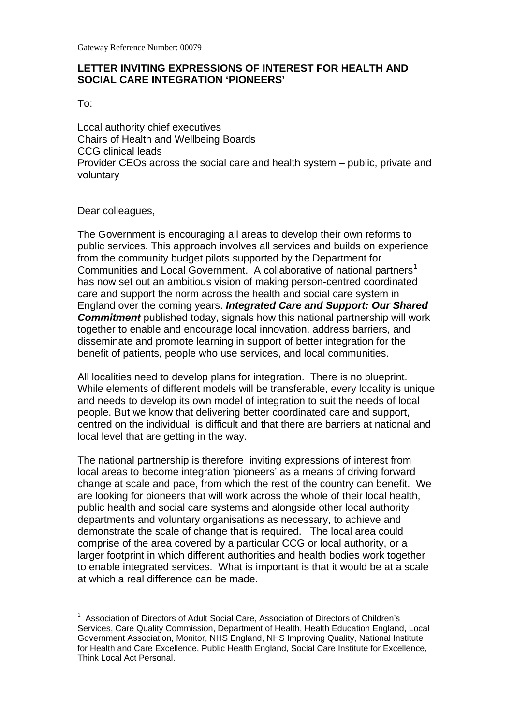### **LETTER INVITING EXPRESSIONS OF INTEREST FOR HEALTH AND SOCIAL CARE INTEGRATION 'PIONEERS'**

To:

Local authority chief executives Chairs of Health and Wellbeing Boards CCG clinical leads Provider CEOs across the social care and health system – public, private and voluntary

Dear colleagues,

Communities and Local Government. A collaborative of national partners<sup>[1](#page-0-0)</sup> has now set out an ambitious vision of making person-centred coordinated benefit of patients, people who use services, and local communities. The Government is encouraging all areas to develop their own reforms to public services. This approach involves all services and builds on experience from the community budget pilots supported by the Department for care and support the norm across the health and social care system in England over the coming years. *Integrated Care and Support: Our Shared*  **Commitment** published today, signals how this national partnership will work together to enable and encourage local innovation, address barriers, and disseminate and promote learning in support of better integration for the

All localities need to develop plans for integration. There is no blueprint. While elements of different models will be transferable, every locality is unique and needs to develop its own model of integration to suit the needs of local people. But we know that delivering better coordinated care and support, centred on the individual, is difficult and that there are barriers at national and local level that are getting in the way.

 The national partnership is therefore inviting expressions of interest from local areas to become integration 'pioneers' as a means of driving forward change at scale and pace, from which the rest of the country can benefit. We are looking for pioneers that will work across the whole of their local health, demonstrate the scale of change that is required. The local area could to enable integrated services. What is important is that it would be at a scale public health and social care systems and alongside other local authority departments and voluntary organisations as necessary, to achieve and comprise of the area covered by a particular CCG or local authority, or a larger footprint in which different authorities and health bodies work together at which a real difference can be made.

<span id="page-0-0"></span><sup>&</sup>lt;sup>1</sup> Association of Directors of Adult Social Care, Association of Directors of Children's Services, Care Quality Commission, Department of Health, Health Education England, Local Government Association, Monitor, NHS England, NHS Improving Quality, National Institute for Health and Care Excellence, Public Health England, Social Care Institute for Excellence, Think Local Act Personal.  $\overline{a}$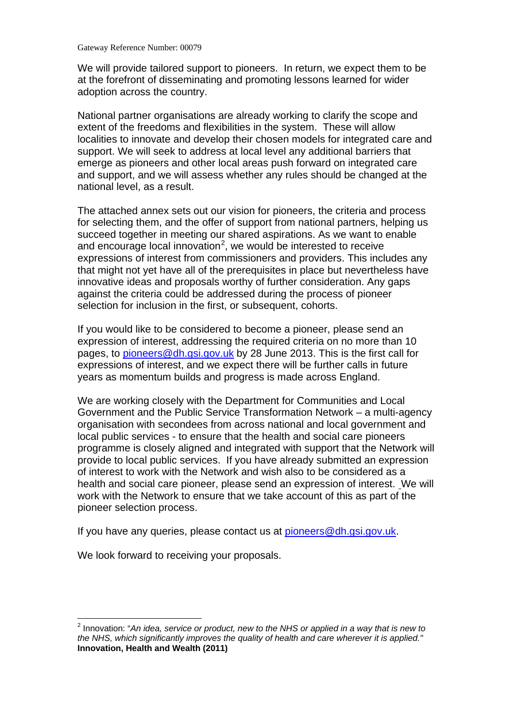Gateway Reference Number: 00079

We will provide tailored support to pioneers. In return, we expect them to be at the forefront of disseminating and promoting lessons learned for wider adoption across the country.

National partner organisations are already working to clarify the scope and extent of the freedoms and flexibilities in the system. These will allow localities to innovate and develop their chosen models for integrated care and support. We will seek to address at local level any additional barriers that emerge as pioneers and other local areas push forward on integrated care and support, and we will assess whether any rules should be changed at the national level, as a result.

 that might not yet have all of the prerequisites in place but nevertheless have against the criteria could be addressed during the process of pioneer selection for inclusion in the first, or subsequent, cohorts. The attached annex sets out our vision for pioneers, the criteria and process for selecting them, and the offer of support from national partners, helping us succeed together in meeting our shared aspirations. As we want to enable and encourage local innovation<sup>[2](#page-1-0)</sup>, we would be interested to receive expressions of interest from commissioners and providers. This includes any innovative ideas and proposals worthy of further consideration. Any gaps

If you would like to be considered to become a pioneer, please send an expression of interest, addressing the required criteria on no more than 10 pages, to [pioneers@dh.gsi.gov.uk](mailto:pioneers@dh.gsi.gov.uk) by 28 June 2013. This is the first call for expressions of interest, and we expect there will be further calls in future years as momentum builds and progress is made across England.

 programme is closely aligned and integrated with support that the Network will provide to local public services. If you have already submitted an expression We are working closely with the Department for Communities and Local Government and the Public Service Transformation Network – a multi-agency organisation with secondees from across national and local government and local public services - to ensure that the health and social care pioneers of interest to work with the Network and wish also to be considered as a health and social care pioneer, please send an expression of interest. We will work with the Network to ensure that we take account of this as part of the pioneer selection process.

If you have any queries, please contact us at [pioneers@dh.gsi.gov.uk.](mailto:pioneers@dh.gsi.gov.uk)

We look forward to receiving your proposals.

 $\overline{a}$ 

<span id="page-1-0"></span> *the NHS, which significantly improves the quality of health and care wherever it is applied."*  2 Innovation: "*An idea, service or product, new to the NHS or applied in a way that is new to*  **Innovation, Health and Wealth (2011)**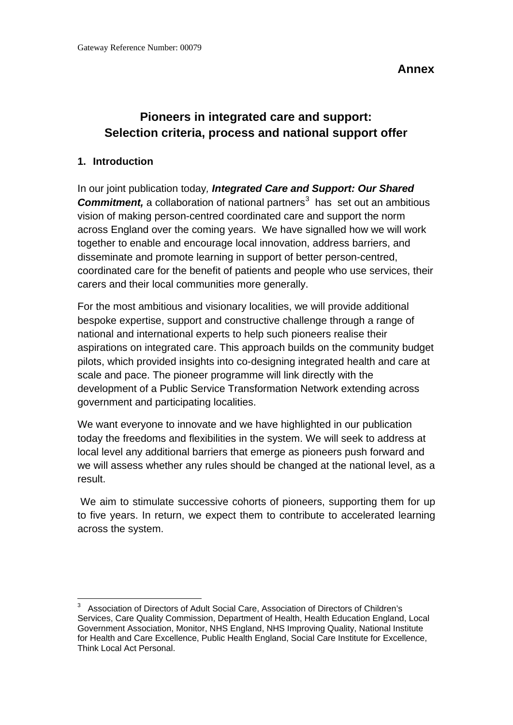**Annex** 

# Pioneers in integrated care and support:  $\overline{a}$ **Pioneers in integrated care and support:**<br>Selection criteria, process and national support offer<br>1. Introduction

**Commitment,** a collaboration of national partners<sup>[3](#page-2-0)</sup> has set out an ambitious across England over the coming years. We have signalled how we will work In our joint publication today*, Integrated Care and Support: Our Shared*  vision of making person-centred coordinated care and support the norm together to enable and encourage local innovation, address barriers, and disseminate and promote learning in support of better person-centred, coordinated care for the benefit of patients and people who use services, their carers and their local communities more generally.

For the most ambitious and visionary localities, we will provide additional bespoke expertise, support and constructive challenge through a range of national and international experts to help such pioneers realise their aspirations on integrated care. This approach builds on the community budget pilots, which provided insights into co-designing integrated health and care at scale and pace. The pioneer programme will link directly with the development of a Public Service Transformation Network extending across government and participating localities.

 today the freedoms and flexibilities in the system. We will seek to address at We want everyone to innovate and we have highlighted in our publication local level any additional barriers that emerge as pioneers push forward and we will assess whether any rules should be changed at the national level, as a result.

We aim to stimulate successive cohorts of pioneers, supporting them for up to five years. In return, we expect them to contribute to accelerated learning across the system.

<span id="page-2-0"></span> Services, Care Quality Commission, Department of Health, Health Education England, Local Government Association, Monitor, NHS England, NHS Improving Quality, National Institute for Health and Care Excellence, Public Health England, Social Care Institute for Excellence, Think Local Act Personal.  $\overline{\phantom{a}}$  $3$  Association of Directors of Adult Social Care, Association of Directors of Children's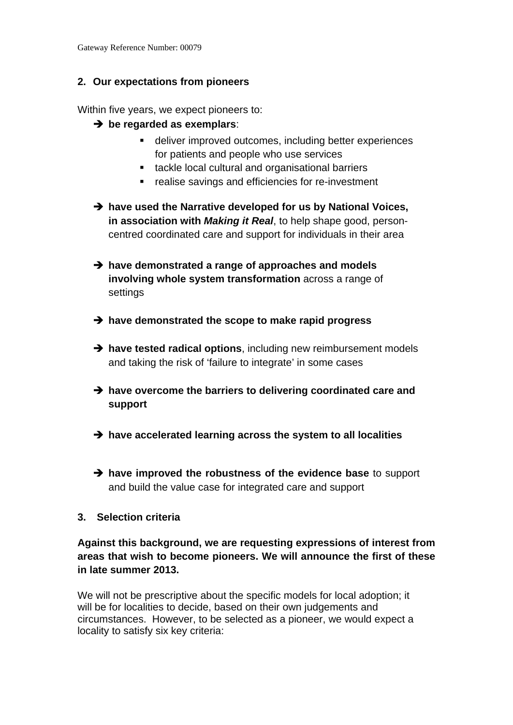## **2. Our expectations from pioneers**

Within five years, we expect pioneers to:

- **be regarded as exemplars**:
	- deliver improved outcomes, including better experiences for patients and people who use services
	- **tackle local cultural and organisational barriers**
	- **F** realise savings and efficiencies for re-investment
- $\rightarrow$  have used the Narrative developed for us by National Voices, **in association with** *Making it Real*, to help shape good, personcentred coordinated care and support for individuals in their area
- **involving whole system transformation** across a range of<br>settings settings **→** have demonstrated a range of approaches and models
- $\rightarrow$  have demonstrated the scope to make rapid progress
- $\rightarrow$  have tested radical options, including new reimbursement models and taking the risk of 'failure to integrate' in some cases
- $\rightarrow$  have overcome the barriers to delivering coordinated care and **support**
- $\rightarrow$  have accelerated learning across the system to all localities
- **have improved the robustness of the evidence base** to support and build the value case for integrated care and support

### **3. Selection criteria**

**Against this background, we are requesting expressions of interest from areas that wish to become pioneers. We will announce the first of these in late summer 2013.** 

We will not be prescriptive about the specific models for local adoption; it will be for localities to decide, based on their own judgements and circumstances. However, to be selected as a pioneer, we would expect a locality to satisfy six key criteria: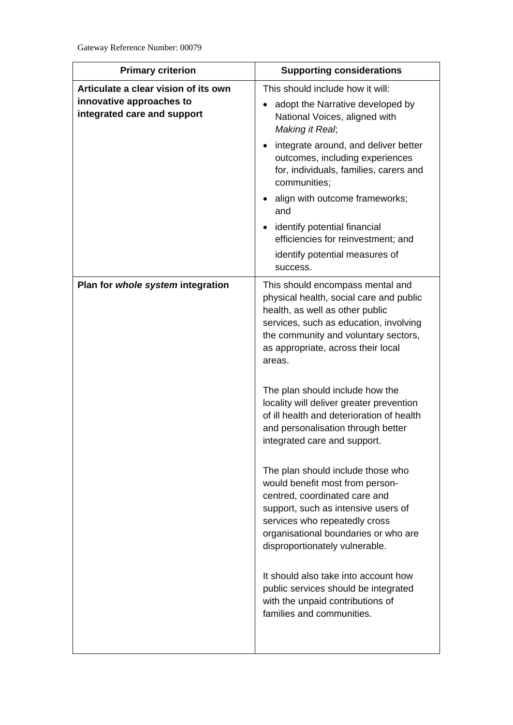| <b>Primary criterion</b>                                                                        | <b>Supporting considerations</b>                                                                                                                                                                                                                        |
|-------------------------------------------------------------------------------------------------|---------------------------------------------------------------------------------------------------------------------------------------------------------------------------------------------------------------------------------------------------------|
| Articulate a clear vision of its own<br>innovative approaches to<br>integrated care and support | This should include how it will:<br>adopt the Narrative developed by<br>National Voices, aligned with<br>Making it Real;                                                                                                                                |
|                                                                                                 | integrate around, and deliver better<br>$\bullet$<br>outcomes, including experiences<br>for, individuals, families, carers and<br>communities;                                                                                                          |
|                                                                                                 | align with outcome frameworks;<br>and                                                                                                                                                                                                                   |
|                                                                                                 | identify potential financial<br>$\bullet$<br>efficiencies for reinvestment; and<br>identify potential measures of                                                                                                                                       |
|                                                                                                 | success.                                                                                                                                                                                                                                                |
| Plan for whole system integration                                                               | This should encompass mental and<br>physical health, social care and public<br>health, as well as other public<br>services, such as education, involving<br>the community and voluntary sectors,<br>as appropriate, across their local<br>areas.        |
|                                                                                                 | The plan should include how the<br>locality will deliver greater prevention<br>of ill health and deterioration of health<br>and personalisation through better<br>integrated care and support.                                                          |
|                                                                                                 | The plan should include those who<br>would benefit most from person-<br>centred, coordinated care and<br>support, such as intensive users of<br>services who repeatedly cross<br>organisational boundaries or who are<br>disproportionately vulnerable. |
|                                                                                                 | It should also take into account how<br>public services should be integrated<br>with the unpaid contributions of<br>families and communities.                                                                                                           |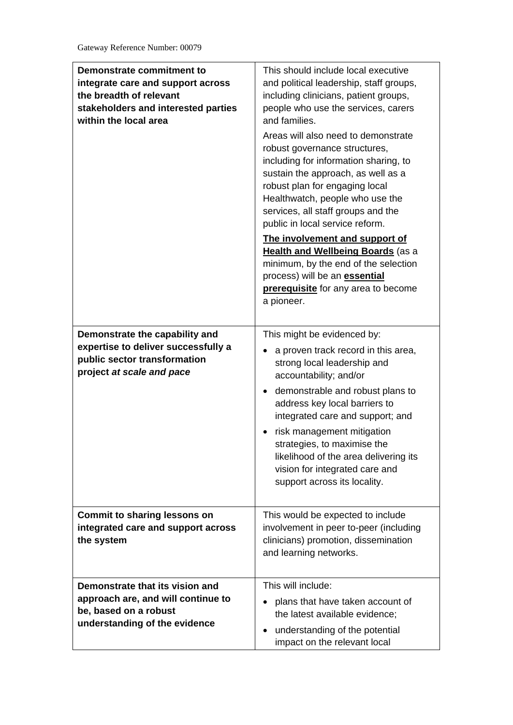| Demonstrate commitment to<br>integrate care and support across<br>the breadth of relevant<br>stakeholders and interested parties<br>within the local area | This should include local executive<br>and political leadership, staff groups,<br>including clinicians, patient groups,<br>people who use the services, carers<br>and families.<br>Areas will also need to demonstrate<br>robust governance structures,<br>including for information sharing, to<br>sustain the approach, as well as a<br>robust plan for engaging local<br>Healthwatch, people who use the<br>services, all staff groups and the<br>public in local service reform.<br>The involvement and support of<br><b>Health and Wellbeing Boards (as a</b><br>minimum, by the end of the selection<br>process) will be an <b>essential</b><br>prerequisite for any area to become<br>a pioneer. |
|-----------------------------------------------------------------------------------------------------------------------------------------------------------|---------------------------------------------------------------------------------------------------------------------------------------------------------------------------------------------------------------------------------------------------------------------------------------------------------------------------------------------------------------------------------------------------------------------------------------------------------------------------------------------------------------------------------------------------------------------------------------------------------------------------------------------------------------------------------------------------------|
| Demonstrate the capability and<br>expertise to deliver successfully a<br>public sector transformation<br>project at scale and pace                        | This might be evidenced by:<br>a proven track record in this area,<br>strong local leadership and<br>accountability; and/or<br>• demonstrable and robust plans to<br>address key local barriers to<br>integrated care and support; and<br>risk management mitigation<br>strategies, to maximise the<br>likelihood of the area delivering its<br>vision for integrated care and<br>support across its locality.                                                                                                                                                                                                                                                                                          |
| <b>Commit to sharing lessons on</b><br>integrated care and support across<br>the system                                                                   | This would be expected to include<br>involvement in peer to-peer (including<br>clinicians) promotion, dissemination<br>and learning networks.                                                                                                                                                                                                                                                                                                                                                                                                                                                                                                                                                           |
| Demonstrate that its vision and<br>approach are, and will continue to<br>be, based on a robust<br>understanding of the evidence                           | This will include:<br>plans that have taken account of<br>the latest available evidence;<br>understanding of the potential<br>impact on the relevant local                                                                                                                                                                                                                                                                                                                                                                                                                                                                                                                                              |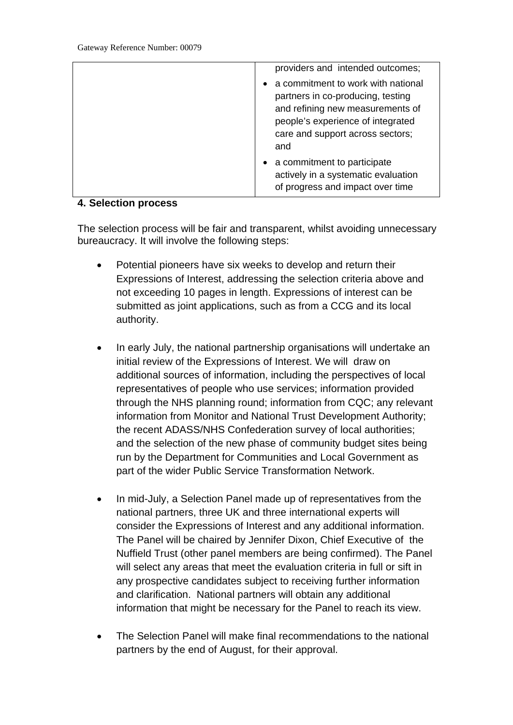| providers and intended outcomes;                                                                                                                                                            |
|---------------------------------------------------------------------------------------------------------------------------------------------------------------------------------------------|
| a commitment to work with national<br>partners in co-producing, testing<br>and refining new measurements of<br>people's experience of integrated<br>care and support across sectors;<br>and |
| • a commitment to participate<br>actively in a systematic evaluation<br>of progress and impact over time                                                                                    |

#### **4. Selection process**

The selection process will be fair and transparent, whilst avoiding unnecessary bureaucracy. It will involve the following steps:

- $\bullet$ Potential pioneers have six weeks to develop and return their Expressions of Interest, addressing the selection criteria above and not exceeding 10 pages in length. Expressions of interest can be submitted as joint applications, such as from a CCG and its local authority.
- part of the wider Public Service Transformation Network.  $\bullet$ •In early July, the national partnership organisations will undertake an initial review of the Expressions of Interest. We will draw on additional sources of information, including the perspectives of local representatives of people who use services; information provided through the NHS planning round; information from CQC; any relevant information from Monitor and National Trust Development Authority; the recent ADASS/NHS Confederation survey of local authorities; and the selection of the new phase of community budget sites being run by the Department for Communities and Local Government as
- The Panel will be chaired by Jennifer Dixon, Chief Executive of the information that might be necessary for the Panel to reach its view.  $\bullet$ •In mid-July, a Selection Panel made up of representatives from the national partners, three UK and three international experts will consider the Expressions of Interest and any additional information. Nuffield Trust (other panel members are being confirmed). The Panel will select any areas that meet the evaluation criteria in full or sift in any prospective candidates subject to receiving further information and clarification. National partners will obtain any additional
- partners by the end of August, for their approval. •The Selection Panel will make final recommendations to the national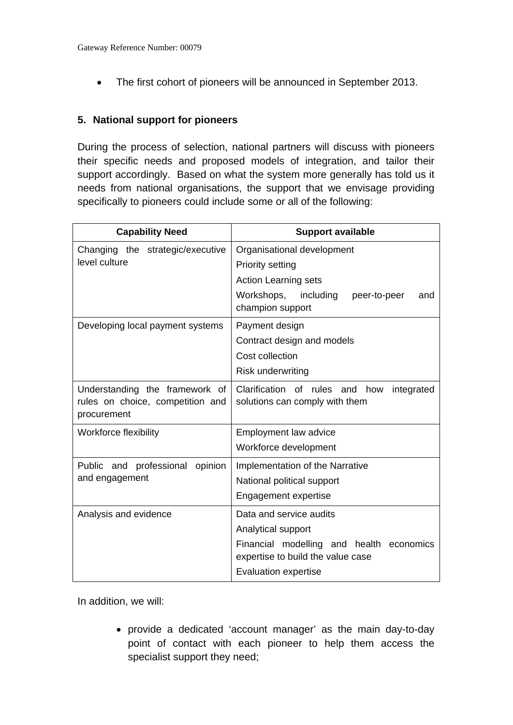• The first cohort of pioneers will be announced in September 2013.

### **5. National support for pioneers**

 support accordingly. Based on what the system more generally has told us it needs from national organisations, the support that we envisage providing specifically to pioneers could include some or all of the following: During the process of selection, national partners will discuss with pioneers their specific needs and proposed models of integration, and tailor their

| <b>Capability Need</b>                                                            | <b>Support available</b>                                                          |
|-----------------------------------------------------------------------------------|-----------------------------------------------------------------------------------|
| Changing the strategic/executive<br>level culture                                 | Organisational development                                                        |
|                                                                                   | <b>Priority setting</b>                                                           |
|                                                                                   | <b>Action Learning sets</b>                                                       |
|                                                                                   | Workshops, including<br>peer-to-peer<br>and<br>champion support                   |
| Developing local payment systems                                                  | Payment design                                                                    |
|                                                                                   | Contract design and models                                                        |
|                                                                                   | Cost collection                                                                   |
|                                                                                   | Risk underwriting                                                                 |
| Understanding the framework of<br>rules on choice, competition and<br>procurement | Clarification of rules and<br>integrated<br>how<br>solutions can comply with them |
| Workforce flexibility                                                             | Employment law advice                                                             |
|                                                                                   | Workforce development                                                             |
| Public and<br>professional opinion                                                | Implementation of the Narrative                                                   |
| and engagement                                                                    | National political support                                                        |
|                                                                                   | Engagement expertise                                                              |
| Analysis and evidence                                                             | Data and service audits                                                           |
|                                                                                   | Analytical support                                                                |
|                                                                                   | Financial modelling and health economics<br>expertise to build the value case     |
|                                                                                   | <b>Evaluation expertise</b>                                                       |

In addition, we will:

 •provide a dedicated 'account manager' as the main day-to-day point of contact with each pioneer to help them access the specialist support they need;